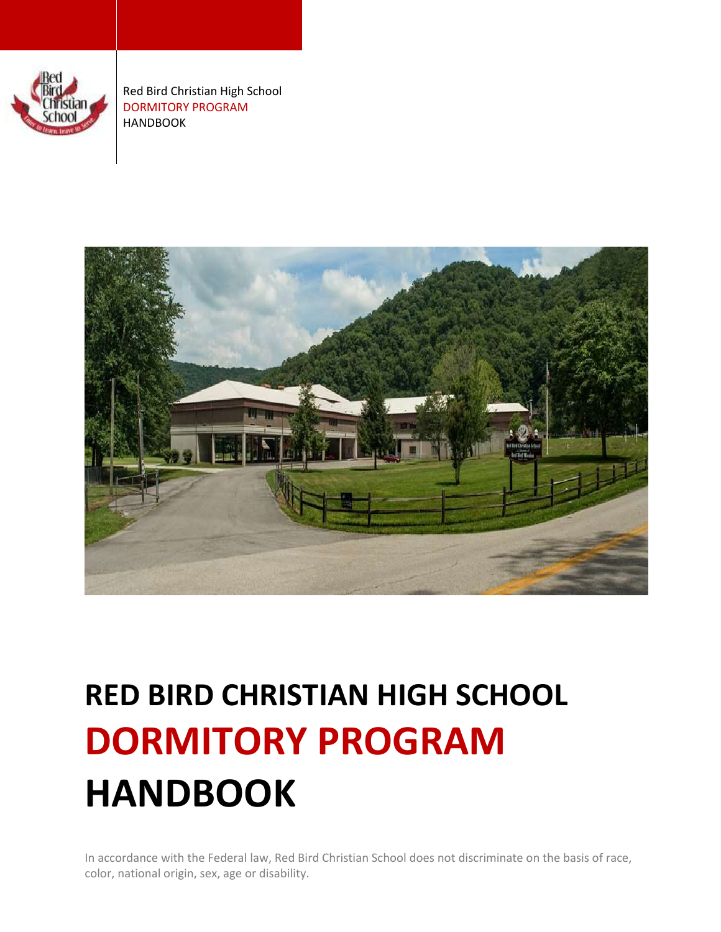

Red Bird Christian High School DORMITORY PROGRAM HANDBOOK



# **RED BIRD CHRISTIAN HIGH SCHOOL DORMITORY PROGRAM HANDBOOK**

In accordance with the Federal law, Red Bird Christian School does not discriminate on the basis of race, color, national origin, sex, age or disability.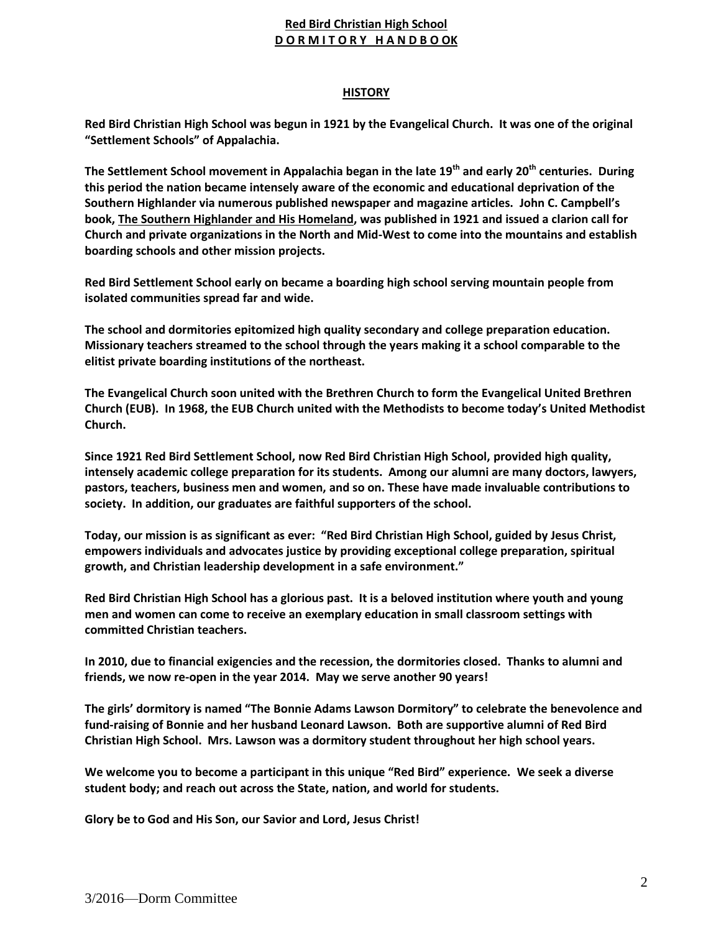## **HISTORY**

**Red Bird Christian High School was begun in 1921 by the Evangelical Church. It was one of the original "Settlement Schools" of Appalachia.** 

**The Settlement School movement in Appalachia began in the late 19th and early 20th centuries. During this period the nation became intensely aware of the economic and educational deprivation of the Southern Highlander via numerous published newspaper and magazine articles. John C. Campbell's book, The Southern Highlander and His Homeland, was published in 1921 and issued a clarion call for Church and private organizations in the North and Mid-West to come into the mountains and establish boarding schools and other mission projects.**

**Red Bird Settlement School early on became a boarding high school serving mountain people from isolated communities spread far and wide.** 

**The school and dormitories epitomized high quality secondary and college preparation education. Missionary teachers streamed to the school through the years making it a school comparable to the elitist private boarding institutions of the northeast.**

**The Evangelical Church soon united with the Brethren Church to form the Evangelical United Brethren Church (EUB). In 1968, the EUB Church united with the Methodists to become today's United Methodist Church.** 

**Since 1921 Red Bird Settlement School, now Red Bird Christian High School, provided high quality, intensely academic college preparation for its students. Among our alumni are many doctors, lawyers, pastors, teachers, business men and women, and so on. These have made invaluable contributions to society. In addition, our graduates are faithful supporters of the school.**

**Today, our mission is as significant as ever: "Red Bird Christian High School, guided by Jesus Christ, empowers individuals and advocates justice by providing exceptional college preparation, spiritual growth, and Christian leadership development in a safe environment."**

**Red Bird Christian High School has a glorious past. It is a beloved institution where youth and young men and women can come to receive an exemplary education in small classroom settings with committed Christian teachers.** 

**In 2010, due to financial exigencies and the recession, the dormitories closed. Thanks to alumni and friends, we now re-open in the year 2014. May we serve another 90 years!** 

**The girls' dormitory is named "The Bonnie Adams Lawson Dormitory" to celebrate the benevolence and fund-raising of Bonnie and her husband Leonard Lawson. Both are supportive alumni of Red Bird Christian High School. Mrs. Lawson was a dormitory student throughout her high school years.** 

**We welcome you to become a participant in this unique "Red Bird" experience. We seek a diverse student body; and reach out across the State, nation, and world for students.** 

**Glory be to God and His Son, our Savior and Lord, Jesus Christ!**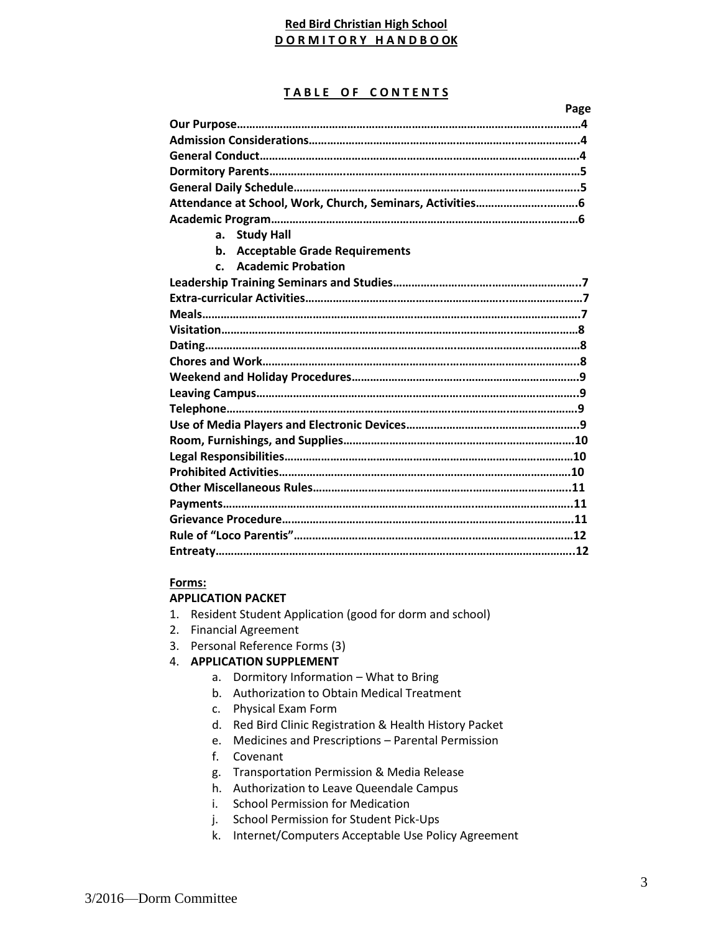#### **TABLE OF CONTENTS**

**Page**

| <b>Study Hall</b><br>a.                    |  |  |
|--------------------------------------------|--|--|
| <b>Acceptable Grade Requirements</b><br>b. |  |  |
| c. Academic Probation                      |  |  |
|                                            |  |  |
|                                            |  |  |
|                                            |  |  |
|                                            |  |  |
|                                            |  |  |
|                                            |  |  |
|                                            |  |  |
|                                            |  |  |
|                                            |  |  |
|                                            |  |  |
|                                            |  |  |
|                                            |  |  |
|                                            |  |  |
|                                            |  |  |
|                                            |  |  |
|                                            |  |  |
|                                            |  |  |
|                                            |  |  |
|                                            |  |  |

## **Forms:**

#### **APPLICATION PACKET**

- 1. Resident Student Application (good for dorm and school)
- 2. Financial Agreement
- 3. Personal Reference Forms (3)

## 4. **APPLICATION SUPPLEMENT**

- a. Dormitory Information What to Bring
- b. Authorization to Obtain Medical Treatment
- c. Physical Exam Form
- d. Red Bird Clinic Registration & Health History Packet
- e. Medicines and Prescriptions Parental Permission
- f. Covenant
- g. Transportation Permission & Media Release
- h. Authorization to Leave Queendale Campus
- i. School Permission for Medication
- j. School Permission for Student Pick-Ups
- k. Internet/Computers Acceptable Use Policy Agreement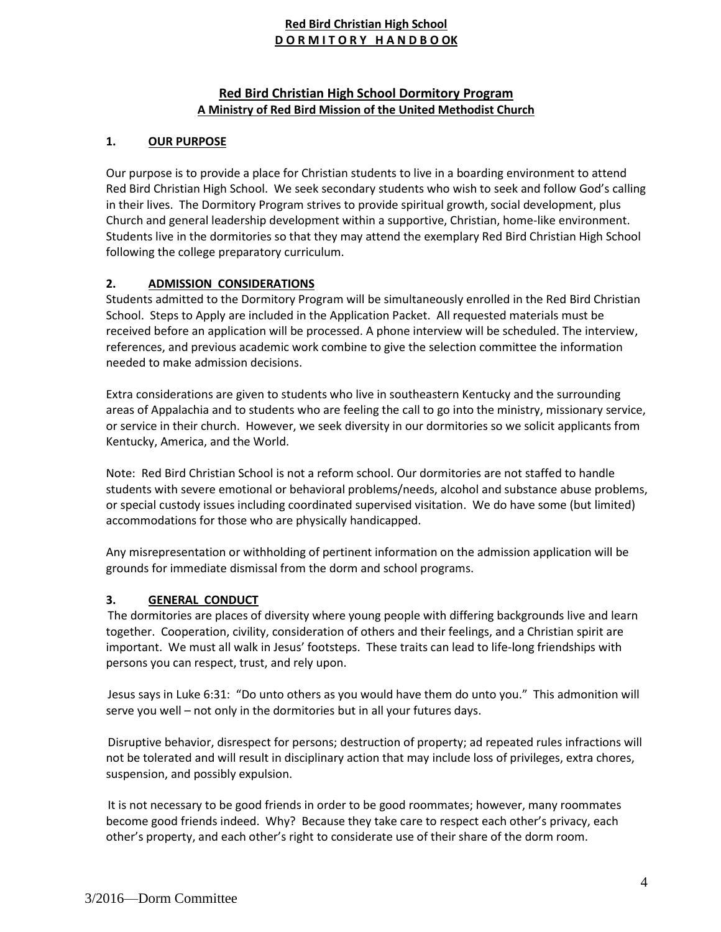# **Red Bird Christian High School Dormitory Program A Ministry of Red Bird Mission of the United Methodist Church**

# **1. OUR PURPOSE**

Our purpose is to provide a place for Christian students to live in a boarding environment to attend Red Bird Christian High School. We seek secondary students who wish to seek and follow God's calling in their lives. The Dormitory Program strives to provide spiritual growth, social development, plus Church and general leadership development within a supportive, Christian, home-like environment. Students live in the dormitories so that they may attend the exemplary Red Bird Christian High School following the college preparatory curriculum.

# **2. ADMISSION CONSIDERATIONS**

Students admitted to the Dormitory Program will be simultaneously enrolled in the Red Bird Christian School. Steps to Apply are included in the Application Packet. All requested materials must be received before an application will be processed. A phone interview will be scheduled. The interview, references, and previous academic work combine to give the selection committee the information needed to make admission decisions.

Extra considerations are given to students who live in southeastern Kentucky and the surrounding areas of Appalachia and to students who are feeling the call to go into the ministry, missionary service, or service in their church. However, we seek diversity in our dormitories so we solicit applicants from Kentucky, America, and the World.

Note: Red Bird Christian School is not a reform school. Our dormitories are not staffed to handle students with severe emotional or behavioral problems/needs, alcohol and substance abuse problems, or special custody issues including coordinated supervised visitation. We do have some (but limited) accommodations for those who are physically handicapped.

Any misrepresentation or withholding of pertinent information on the admission application will be grounds for immediate dismissal from the dorm and school programs.

# **3. GENERAL CONDUCT**

The dormitories are places of diversity where young people with differing backgrounds live and learn together. Cooperation, civility, consideration of others and their feelings, and a Christian spirit are important. We must all walk in Jesus' footsteps. These traits can lead to life-long friendships with persons you can respect, trust, and rely upon.

Jesus says in Luke 6:31: "Do unto others as you would have them do unto you." This admonition will serve you well – not only in the dormitories but in all your futures days.

Disruptive behavior, disrespect for persons; destruction of property; ad repeated rules infractions will not be tolerated and will result in disciplinary action that may include loss of privileges, extra chores, suspension, and possibly expulsion.

It is not necessary to be good friends in order to be good roommates; however, many roommates become good friends indeed. Why? Because they take care to respect each other's privacy, each other's property, and each other's right to considerate use of their share of the dorm room.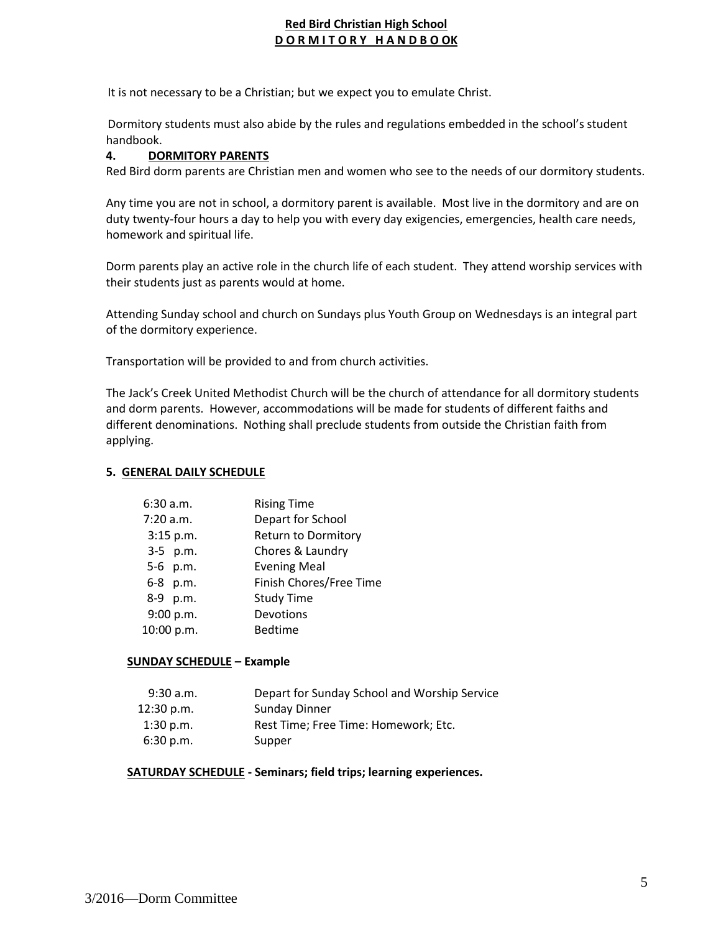It is not necessary to be a Christian; but we expect you to emulate Christ.

Dormitory students must also abide by the rules and regulations embedded in the school's student handbook.

# **4. DORMITORY PARENTS**

Red Bird dorm parents are Christian men and women who see to the needs of our dormitory students.

Any time you are not in school, a dormitory parent is available. Most live in the dormitory and are on duty twenty-four hours a day to help you with every day exigencies, emergencies, health care needs, homework and spiritual life.

Dorm parents play an active role in the church life of each student. They attend worship services with their students just as parents would at home.

Attending Sunday school and church on Sundays plus Youth Group on Wednesdays is an integral part of the dormitory experience.

Transportation will be provided to and from church activities.

The Jack's Creek United Methodist Church will be the church of attendance for all dormitory students and dorm parents. However, accommodations will be made for students of different faiths and different denominations. Nothing shall preclude students from outside the Christian faith from applying.

#### **5. GENERAL DAILY SCHEDULE**

| 6:30 a.m.  | <b>Rising Time</b>      |
|------------|-------------------------|
| 7:20 a.m.  | Depart for School       |
| 3:15 p.m.  | Return to Dormitory     |
| 3-5 p.m.   | Chores & Laundry        |
| 5-6 p.m.   | <b>Evening Meal</b>     |
| 6-8 p.m.   | Finish Chores/Free Time |
| 8-9 p.m.   | <b>Study Time</b>       |
| 9:00 p.m.  | Devotions               |
| 10:00 p.m. | <b>Bedtime</b>          |

## **SUNDAY SCHEDULE – Example**

| $9:30$ a.m. | Depart for Sunday School and Worship Service |
|-------------|----------------------------------------------|
| 12:30 p.m.  | Sunday Dinner                                |
| $1:30$ p.m. | Rest Time; Free Time: Homework; Etc.         |
| 6:30 p.m.   | Supper                                       |

## **SATURDAY SCHEDULE - Seminars; field trips; learning experiences.**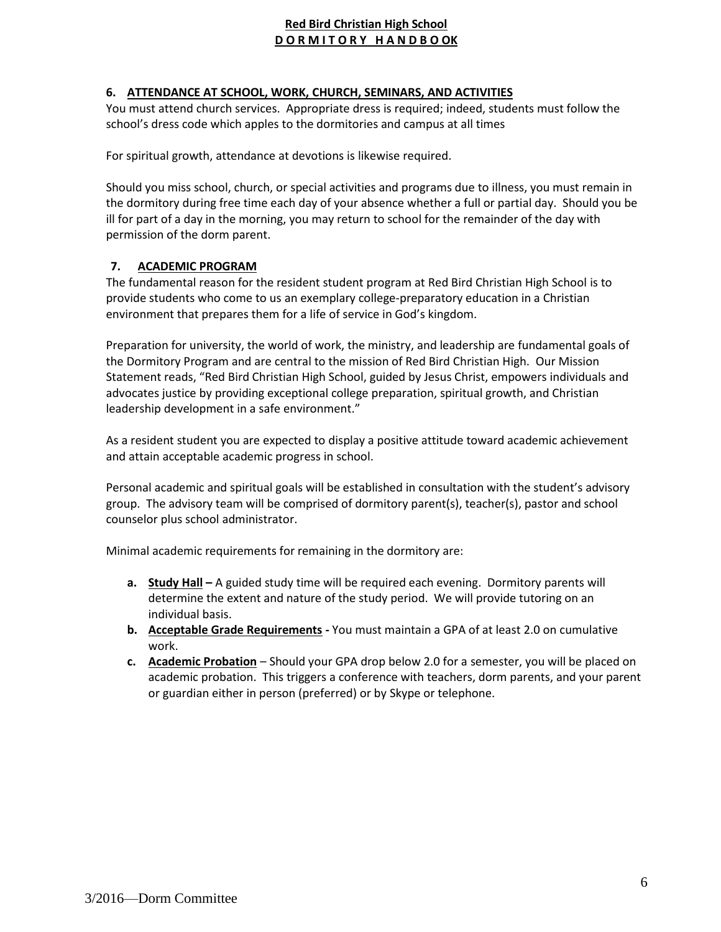# **6. ATTENDANCE AT SCHOOL, WORK, CHURCH, SEMINARS, AND ACTIVITIES**

You must attend church services. Appropriate dress is required; indeed, students must follow the school's dress code which apples to the dormitories and campus at all times

For spiritual growth, attendance at devotions is likewise required.

Should you miss school, church, or special activities and programs due to illness, you must remain in the dormitory during free time each day of your absence whether a full or partial day. Should you be ill for part of a day in the morning, you may return to school for the remainder of the day with permission of the dorm parent.

# **7. ACADEMIC PROGRAM**

The fundamental reason for the resident student program at Red Bird Christian High School is to provide students who come to us an exemplary college-preparatory education in a Christian environment that prepares them for a life of service in God's kingdom.

Preparation for university, the world of work, the ministry, and leadership are fundamental goals of the Dormitory Program and are central to the mission of Red Bird Christian High. Our Mission Statement reads, "Red Bird Christian High School, guided by Jesus Christ, empowers individuals and advocates justice by providing exceptional college preparation, spiritual growth, and Christian leadership development in a safe environment."

As a resident student you are expected to display a positive attitude toward academic achievement and attain acceptable academic progress in school.

Personal academic and spiritual goals will be established in consultation with the student's advisory group. The advisory team will be comprised of dormitory parent(s), teacher(s), pastor and school counselor plus school administrator.

Minimal academic requirements for remaining in the dormitory are:

- **a. Study Hall –** A guided study time will be required each evening. Dormitory parents will determine the extent and nature of the study period. We will provide tutoring on an individual basis.
- **b. Acceptable Grade Requirements -** You must maintain a GPA of at least 2.0 on cumulative work.
- **c. Academic Probation** Should your GPA drop below 2.0 for a semester, you will be placed on academic probation. This triggers a conference with teachers, dorm parents, and your parent or guardian either in person (preferred) or by Skype or telephone.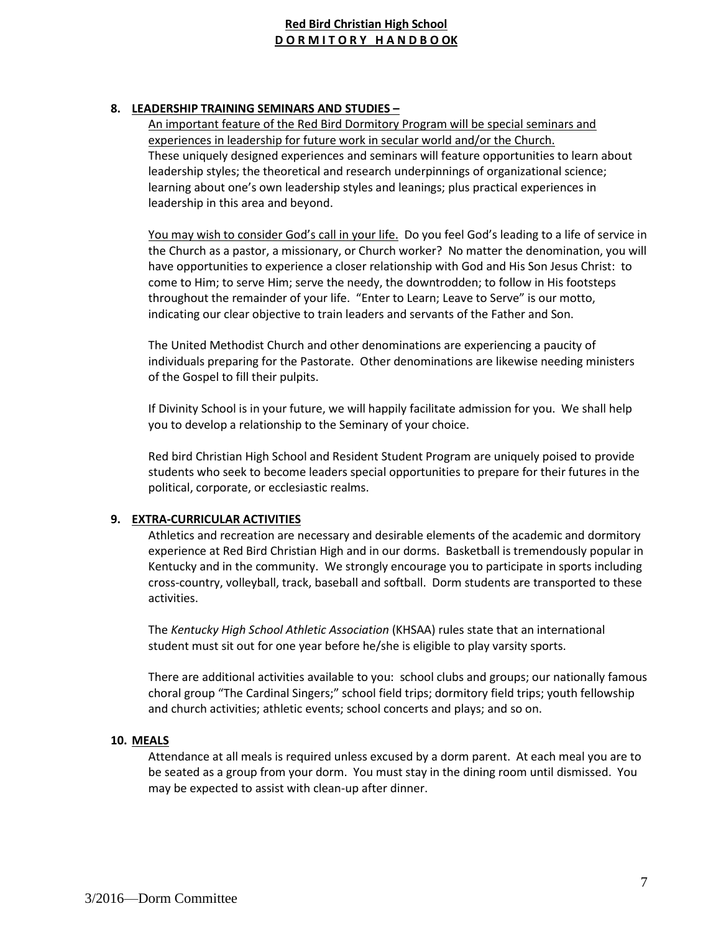## **8. LEADERSHIP TRAINING SEMINARS AND STUDIES –**

An important feature of the Red Bird Dormitory Program will be special seminars and experiences in leadership for future work in secular world and/or the Church. These uniquely designed experiences and seminars will feature opportunities to learn about leadership styles; the theoretical and research underpinnings of organizational science; learning about one's own leadership styles and leanings; plus practical experiences in leadership in this area and beyond.

You may wish to consider God's call in your life. Do you feel God's leading to a life of service in the Church as a pastor, a missionary, or Church worker? No matter the denomination, you will have opportunities to experience a closer relationship with God and His Son Jesus Christ: to come to Him; to serve Him; serve the needy, the downtrodden; to follow in His footsteps throughout the remainder of your life. "Enter to Learn; Leave to Serve" is our motto, indicating our clear objective to train leaders and servants of the Father and Son.

The United Methodist Church and other denominations are experiencing a paucity of individuals preparing for the Pastorate. Other denominations are likewise needing ministers of the Gospel to fill their pulpits.

If Divinity School is in your future, we will happily facilitate admission for you. We shall help you to develop a relationship to the Seminary of your choice.

Red bird Christian High School and Resident Student Program are uniquely poised to provide students who seek to become leaders special opportunities to prepare for their futures in the political, corporate, or ecclesiastic realms.

## **9. EXTRA-CURRICULAR ACTIVITIES**

Athletics and recreation are necessary and desirable elements of the academic and dormitory experience at Red Bird Christian High and in our dorms. Basketball is tremendously popular in Kentucky and in the community. We strongly encourage you to participate in sports including cross-country, volleyball, track, baseball and softball. Dorm students are transported to these activities.

The *Kentucky High School Athletic Association* (KHSAA) rules state that an international student must sit out for one year before he/she is eligible to play varsity sports.

There are additional activities available to you: school clubs and groups; our nationally famous choral group "The Cardinal Singers;" school field trips; dormitory field trips; youth fellowship and church activities; athletic events; school concerts and plays; and so on.

#### **10. MEALS**

Attendance at all meals is required unless excused by a dorm parent. At each meal you are to be seated as a group from your dorm. You must stay in the dining room until dismissed. You may be expected to assist with clean-up after dinner.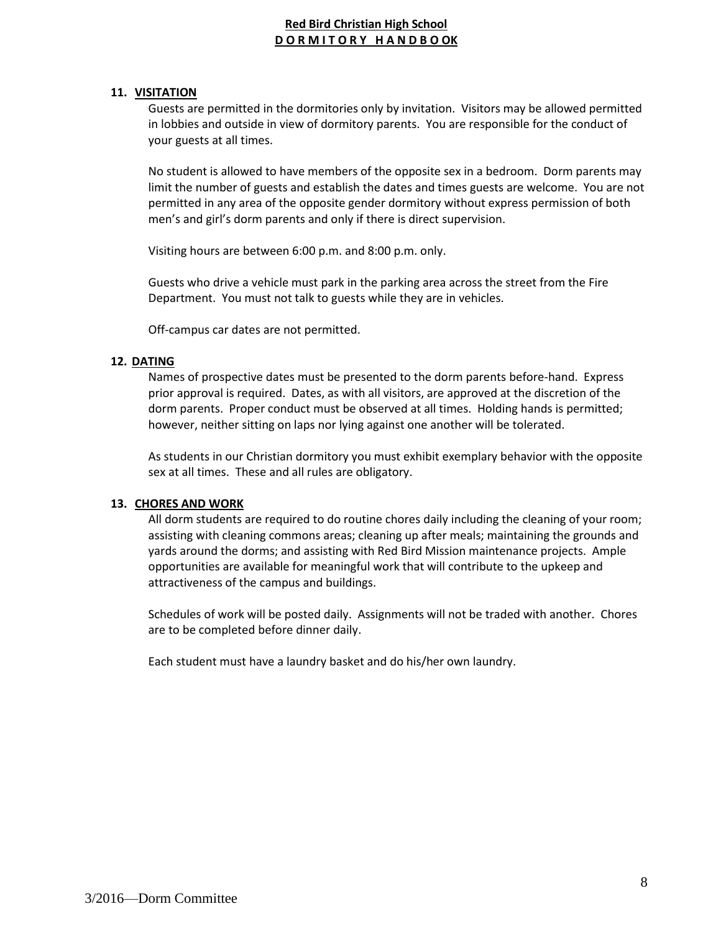## **11. VISITATION**

Guests are permitted in the dormitories only by invitation. Visitors may be allowed permitted in lobbies and outside in view of dormitory parents. You are responsible for the conduct of your guests at all times.

No student is allowed to have members of the opposite sex in a bedroom. Dorm parents may limit the number of guests and establish the dates and times guests are welcome. You are not permitted in any area of the opposite gender dormitory without express permission of both men's and girl's dorm parents and only if there is direct supervision.

Visiting hours are between 6:00 p.m. and 8:00 p.m. only.

Guests who drive a vehicle must park in the parking area across the street from the Fire Department. You must not talk to guests while they are in vehicles.

Off-campus car dates are not permitted.

## **12. DATING**

Names of prospective dates must be presented to the dorm parents before-hand. Express prior approval is required. Dates, as with all visitors, are approved at the discretion of the dorm parents. Proper conduct must be observed at all times. Holding hands is permitted; however, neither sitting on laps nor lying against one another will be tolerated.

As students in our Christian dormitory you must exhibit exemplary behavior with the opposite sex at all times. These and all rules are obligatory.

## **13. CHORES AND WORK**

All dorm students are required to do routine chores daily including the cleaning of your room; assisting with cleaning commons areas; cleaning up after meals; maintaining the grounds and yards around the dorms; and assisting with Red Bird Mission maintenance projects. Ample opportunities are available for meaningful work that will contribute to the upkeep and attractiveness of the campus and buildings.

Schedules of work will be posted daily. Assignments will not be traded with another. Chores are to be completed before dinner daily.

Each student must have a laundry basket and do his/her own laundry.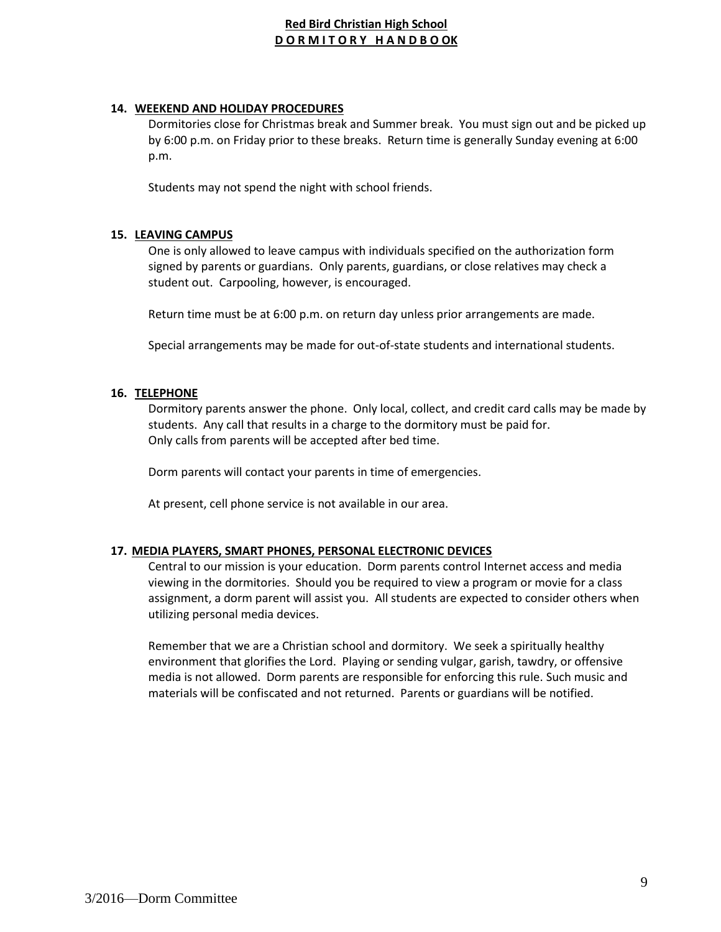## **14. WEEKEND AND HOLIDAY PROCEDURES**

Dormitories close for Christmas break and Summer break. You must sign out and be picked up by 6:00 p.m. on Friday prior to these breaks. Return time is generally Sunday evening at 6:00 p.m.

Students may not spend the night with school friends.

## **15. LEAVING CAMPUS**

One is only allowed to leave campus with individuals specified on the authorization form signed by parents or guardians. Only parents, guardians, or close relatives may check a student out. Carpooling, however, is encouraged.

Return time must be at 6:00 p.m. on return day unless prior arrangements are made.

Special arrangements may be made for out-of-state students and international students.

## **16. TELEPHONE**

Dormitory parents answer the phone. Only local, collect, and credit card calls may be made by students. Any call that results in a charge to the dormitory must be paid for. Only calls from parents will be accepted after bed time.

Dorm parents will contact your parents in time of emergencies.

At present, cell phone service is not available in our area.

## **17. MEDIA PLAYERS, SMART PHONES, PERSONAL ELECTRONIC DEVICES**

Central to our mission is your education. Dorm parents control Internet access and media viewing in the dormitories. Should you be required to view a program or movie for a class assignment, a dorm parent will assist you. All students are expected to consider others when utilizing personal media devices.

Remember that we are a Christian school and dormitory. We seek a spiritually healthy environment that glorifies the Lord. Playing or sending vulgar, garish, tawdry, or offensive media is not allowed. Dorm parents are responsible for enforcing this rule. Such music and materials will be confiscated and not returned. Parents or guardians will be notified.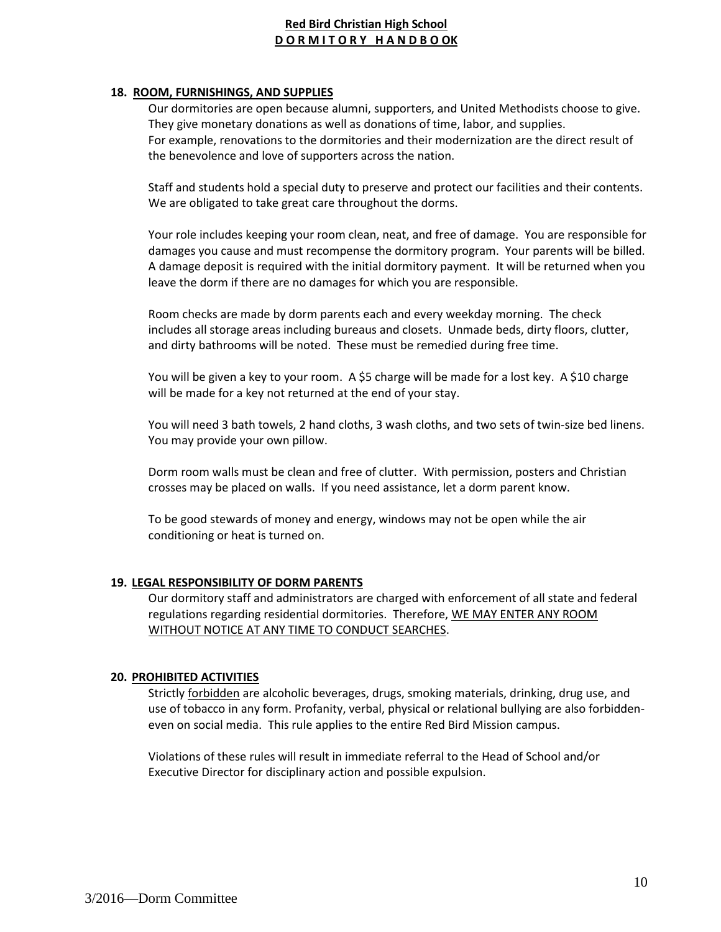## **18. ROOM, FURNISHINGS, AND SUPPLIES**

Our dormitories are open because alumni, supporters, and United Methodists choose to give. They give monetary donations as well as donations of time, labor, and supplies. For example, renovations to the dormitories and their modernization are the direct result of the benevolence and love of supporters across the nation.

Staff and students hold a special duty to preserve and protect our facilities and their contents. We are obligated to take great care throughout the dorms.

Your role includes keeping your room clean, neat, and free of damage. You are responsible for damages you cause and must recompense the dormitory program. Your parents will be billed. A damage deposit is required with the initial dormitory payment. It will be returned when you leave the dorm if there are no damages for which you are responsible.

Room checks are made by dorm parents each and every weekday morning. The check includes all storage areas including bureaus and closets. Unmade beds, dirty floors, clutter, and dirty bathrooms will be noted. These must be remedied during free time.

You will be given a key to your room. A \$5 charge will be made for a lost key. A \$10 charge will be made for a key not returned at the end of your stay.

You will need 3 bath towels, 2 hand cloths, 3 wash cloths, and two sets of twin-size bed linens. You may provide your own pillow.

Dorm room walls must be clean and free of clutter. With permission, posters and Christian crosses may be placed on walls. If you need assistance, let a dorm parent know.

To be good stewards of money and energy, windows may not be open while the air conditioning or heat is turned on.

#### **19. LEGAL RESPONSIBILITY OF DORM PARENTS**

Our dormitory staff and administrators are charged with enforcement of all state and federal regulations regarding residential dormitories. Therefore, WE MAY ENTER ANY ROOM WITHOUT NOTICE AT ANY TIME TO CONDUCT SEARCHES.

#### **20. PROHIBITED ACTIVITIES**

Strictly forbidden are alcoholic beverages, drugs, smoking materials, drinking, drug use, and use of tobacco in any form. Profanity, verbal, physical or relational bullying are also forbiddeneven on social media. This rule applies to the entire Red Bird Mission campus.

Violations of these rules will result in immediate referral to the Head of School and/or Executive Director for disciplinary action and possible expulsion.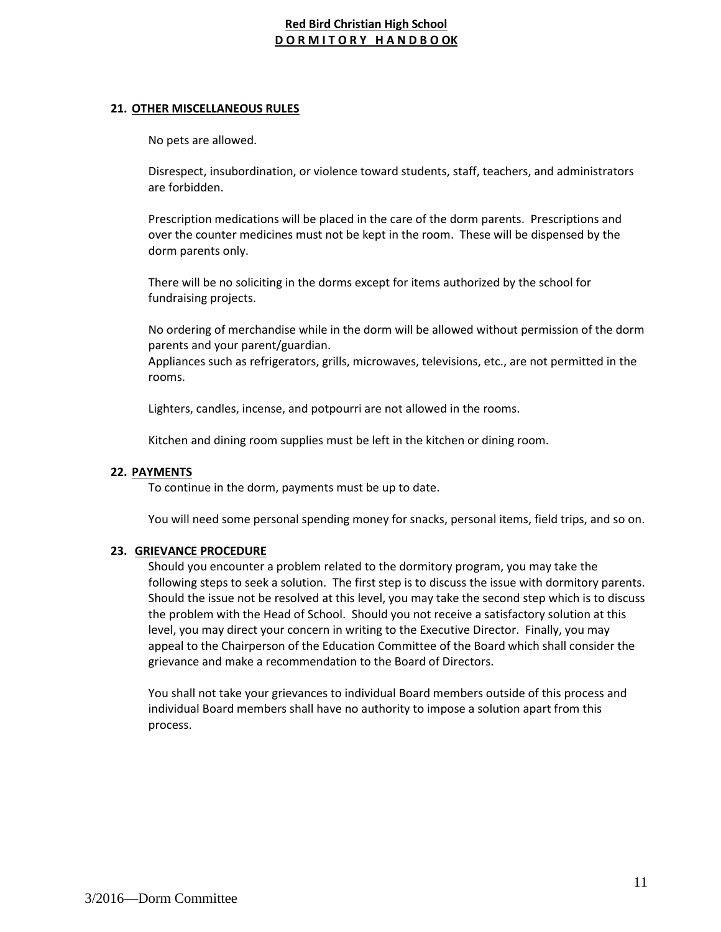## **21. OTHER MISCELLANEOUS RULES**

No pets are allowed.

Disrespect, insubordination, or violence toward students, staff, teachers, and administrators are forbidden.

Prescription medications will be placed in the care of the dorm parents. Prescriptions and over the counter medicines must not be kept in the room. These will be dispensed by the dorm parents only.

There will be no soliciting in the dorms except for items authorized by the school for fundraising projects.

No ordering of merchandise while in the dorm will be allowed without permission of the dorm parents and your parent/guardian.

Appliances such as refrigerators, grills, microwaves, televisions, etc., are not permitted in the rooms.

Lighters, candles, incense, and potpourri are not allowed in the rooms.

Kitchen and dining room supplies must be left in the kitchen or dining room.

## **22. PAYMENTS**

To continue in the dorm, payments must be up to date.

You will need some personal spending money for snacks, personal items, field trips, and so on.

#### **23. GRIEVANCE PROCEDURE**

Should you encounter a problem related to the dormitory program, you may take the following steps to seek a solution. The first step is to discuss the issue with dormitory parents. Should the issue not be resolved at this level, you may take the second step which is to discuss the problem with the Head of School. Should you not receive a satisfactory solution at this level, you may direct your concern in writing to the Executive Director. Finally, you may appeal to the Chairperson of the Education Committee of the Board which shall consider the grievance and make a recommendation to the Board of Directors.

You shall not take your grievances to individual Board members outside of this process and individual Board members shall have no authority to impose a solution apart from this process.